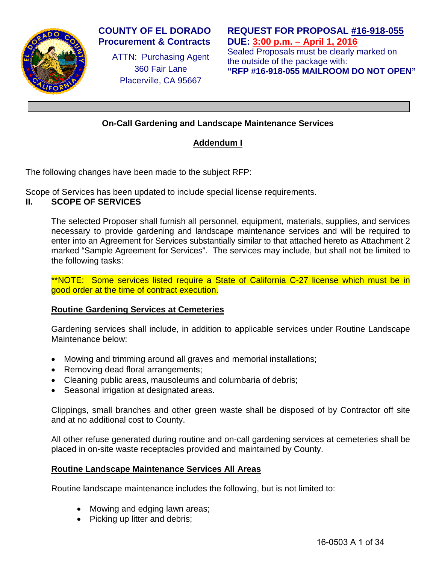

### **COUNTY OF EL DORADO Procurement & Contracts**

ATTN: Purchasing Agent 360 Fair Lane Placerville, CA 95667

**REQUEST FOR PROPOSAL #16-918-055 DUE: 3:00 p.m. – April 1, 2016** Sealed Proposals must be clearly marked on

the outside of the package with: **"RFP #16-918-055 MAILROOM DO NOT OPEN"**

# **On-Call Gardening and Landscape Maintenance Services**

# **Addendum I**

The following changes have been made to the subject RFP:

Scope of Services has been updated to include special license requirements.

### **II. SCOPE OF SERVICES**

The selected Proposer shall furnish all personnel, equipment, materials, supplies, and services necessary to provide gardening and landscape maintenance services and will be required to enter into an Agreement for Services substantially similar to that attached hereto as Attachment 2 marked "Sample Agreement for Services". The services may include, but shall not be limited to the following tasks:

\*\*NOTE: Some services listed require a State of California C-27 license which must be in good order at the time of contract execution.

### **Routine Gardening Services at Cemeteries**

Gardening services shall include, in addition to applicable services under Routine Landscape Maintenance below:

- Mowing and trimming around all graves and memorial installations;
- Removing dead floral arrangements;
- Cleaning public areas, mausoleums and columbaria of debris;
- Seasonal irrigation at designated areas.

Clippings, small branches and other green waste shall be disposed of by Contractor off site and at no additional cost to County.

All other refuse generated during routine and on-call gardening services at cemeteries shall be placed in on-site waste receptacles provided and maintained by County.

### **Routine Landscape Maintenance Services All Areas**

Routine landscape maintenance includes the following, but is not limited to:

- Mowing and edging lawn areas;
- Picking up litter and debris;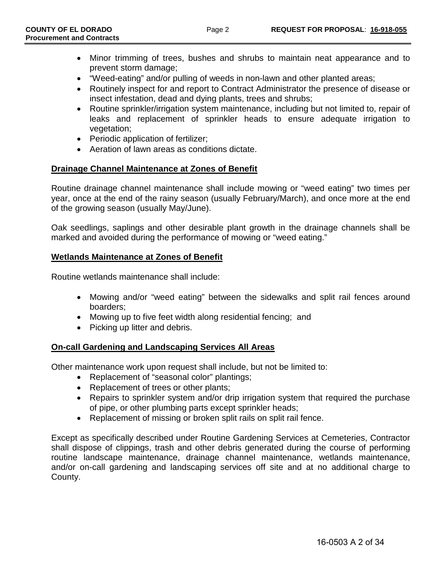- Minor trimming of trees, bushes and shrubs to maintain neat appearance and to prevent storm damage;
- "Weed-eating" and/or pulling of weeds in non-lawn and other planted areas;
- Routinely inspect for and report to Contract Administrator the presence of disease or insect infestation, dead and dying plants, trees and shrubs;
- Routine sprinkler/irrigation system maintenance, including but not limited to, repair of leaks and replacement of sprinkler heads to ensure adequate irrigation to vegetation;
- Periodic application of fertilizer;
- Aeration of lawn areas as conditions dictate.

### **Drainage Channel Maintenance at Zones of Benefit**

Routine drainage channel maintenance shall include mowing or "weed eating" two times per year, once at the end of the rainy season (usually February/March), and once more at the end of the growing season (usually May/June).

Oak seedlings, saplings and other desirable plant growth in the drainage channels shall be marked and avoided during the performance of mowing or "weed eating."

### **Wetlands Maintenance at Zones of Benefit**

Routine wetlands maintenance shall include:

- Mowing and/or "weed eating" between the sidewalks and split rail fences around boarders;
- Mowing up to five feet width along residential fencing; and
- Picking up litter and debris.

### **On-call Gardening and Landscaping Services All Areas**

Other maintenance work upon request shall include, but not be limited to:

- Replacement of "seasonal color" plantings;
- Replacement of trees or other plants;
- Repairs to sprinkler system and/or drip irrigation system that required the purchase of pipe, or other plumbing parts except sprinkler heads;
- Replacement of missing or broken split rails on split rail fence.

Except as specifically described under Routine Gardening Services at Cemeteries, Contractor shall dispose of clippings, trash and other debris generated during the course of performing routine landscape maintenance, drainage channel maintenance, wetlands maintenance, and/or on-call gardening and landscaping services off site and at no additional charge to County.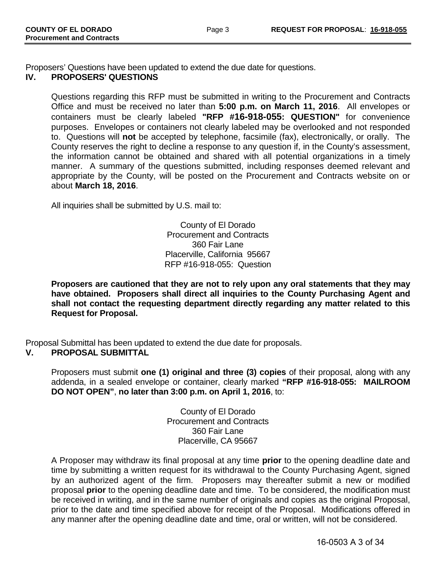Proposers' Questions have been updated to extend the due date for questions.

### **IV. PROPOSERS' QUESTIONS**

Questions regarding this RFP must be submitted in writing to the Procurement and Contracts Office and must be received no later than **5:00 p.m. on March 11, 2016**. All envelopes or containers must be clearly labeled **"RFP #16-918-055: QUESTION"** for convenience purposes. Envelopes or containers not clearly labeled may be overlooked and not responded to. Questions will **not** be accepted by telephone, facsimile (fax), electronically, or orally. The County reserves the right to decline a response to any question if, in the County's assessment, the information cannot be obtained and shared with all potential organizations in a timely manner. A summary of the questions submitted, including responses deemed relevant and appropriate by the County, will be posted on the Procurement and Contracts website on or about **March 18, 2016**.

All inquiries shall be submitted by U.S. mail to:

County of El Dorado Procurement and Contracts 360 Fair Lane Placerville, California 95667 RFP #16-918-055: Question

**Proposers are cautioned that they are not to rely upon any oral statements that they may have obtained. Proposers shall direct all inquiries to the County Purchasing Agent and shall not contact the requesting department directly regarding any matter related to this Request for Proposal.**

Proposal Submittal has been updated to extend the due date for proposals.<br>V. PROPOSAL SUBMITTAL

### **V. PROPOSAL SUBMITTAL**

Proposers must submit **one (1) original and three (3) copies** of their proposal, along with any addenda, in a sealed envelope or container, clearly marked **"RFP #16-918-055: MAILROOM DO NOT OPEN"**, **no later than 3:00 p.m. on April 1, 2016**, to:

> County of El Dorado Procurement and Contracts 360 Fair Lane Placerville, CA 95667

A Proposer may withdraw its final proposal at any time **prior** to the opening deadline date and time by submitting a written request for its withdrawal to the County Purchasing Agent, signed by an authorized agent of the firm. Proposers may thereafter submit a new or modified proposal **prior** to the opening deadline date and time. To be considered, the modification must be received in writing, and in the same number of originals and copies as the original Proposal, prior to the date and time specified above for receipt of the Proposal. Modifications offered in any manner after the opening deadline date and time, oral or written, will not be considered.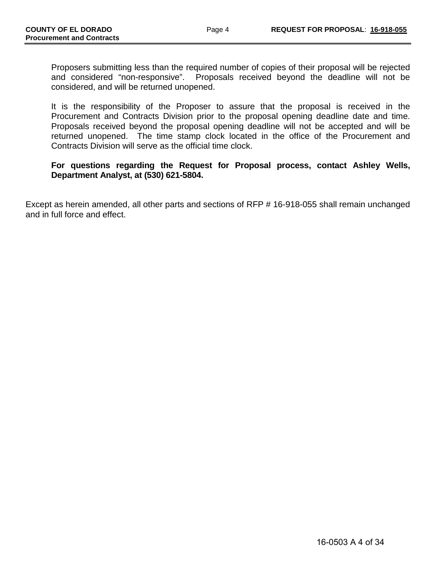Proposers submitting less than the required number of copies of their proposal will be rejected and considered "non-responsive". Proposals received beyond the deadline will not be considered, and will be returned unopened.

It is the responsibility of the Proposer to assure that the proposal is received in the Procurement and Contracts Division prior to the proposal opening deadline date and time. Proposals received beyond the proposal opening deadline will not be accepted and will be returned unopened. The time stamp clock located in the office of the Procurement and Contracts Division will serve as the official time clock.

### **For questions regarding the Request for Proposal process, contact Ashley Wells, Department Analyst, at (530) 621-5804.**

Except as herein amended, all other parts and sections of RFP # 16-918-055 shall remain unchanged and in full force and effect.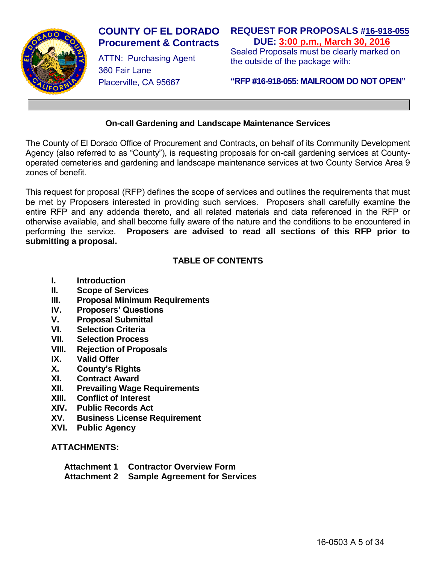

# **COUNTY OF EL DORADO Procurement & Contracts**

ATTN: Purchasing Agent 360 Fair Lane Placerville, CA 95667

# **REQUEST FOR PROPOSALS #16-918-055 DUE: 3:00 p.m., March 30, 2016**

Sealed Proposals must be clearly marked on the outside of the package with:

### **"RFP #16-918-055: MAILROOM DO NOT OPEN"**

### **On-call Gardening and Landscape Maintenance Services**

The County of El Dorado Office of Procurement and Contracts, on behalf of its Community Development Agency (also referred to as "County"), is requesting proposals for on-call gardening services at Countyoperated cemeteries and gardening and landscape maintenance services at two County Service Area 9 zones of benefit.

This request for proposal (RFP) defines the scope of services and outlines the requirements that must be met by Proposers interested in providing such services. Proposers shall carefully examine the entire RFP and any addenda thereto, and all related materials and data referenced in the RFP or otherwise available, and shall become fully aware of the nature and the conditions to be encountered in performing the service. **Proposers are advised to read all sections of this RFP prior to submitting a proposal.** 

# **TABLE OF CONTENTS**

- **I. Introduction**
- **II. Scope of Services**
- **III. Proposal Minimum Requirements**
- **IV. Proposers' Questions**
- **V. Proposal Submittal**
- **VI. Selection Criteria**
- **VII. Selection Process**
- **Rejection of Proposals**
- **IX. Valid Offer**
- **X. County's Rights**
- **XI. Contract Award**
- **XII. Prevailing Wage Requirements**
- **XIII. Conflict of Interest**
- **XIV. Public Records Act**
- **XV. Business License Requirement**
- **XVI. Public Agency**

### **ATTACHMENTS:**

| <b>Attachment 1</b> | <b>Contractor Overview Form</b> |
|---------------------|---------------------------------|
| Attochmont 2        | Cample Acrooment for Carvin     |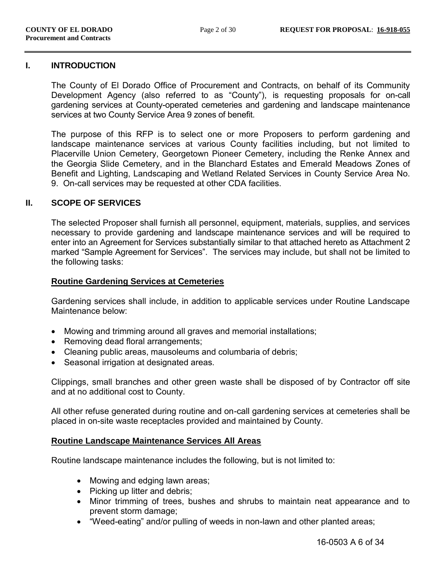#### **I. INTRODUCTION**

The County of El Dorado Office of Procurement and Contracts, on behalf of its Community Development Agency (also referred to as "County"), is requesting proposals for on-call gardening services at County-operated cemeteries and gardening and landscape maintenance services at two County Service Area 9 zones of benefit.

The purpose of this RFP is to select one or more Proposers to perform gardening and landscape maintenance services at various County facilities including, but not limited to Placerville Union Cemetery, Georgetown Pioneer Cemetery, including the Renke Annex and the Georgia Slide Cemetery, and in the Blanchard Estates and Emerald Meadows Zones of Benefit and Lighting, Landscaping and Wetland Related Services in County Service Area No. 9. On-call services may be requested at other CDA facilities.

#### **II. SCOPE OF SERVICES**

The selected Proposer shall furnish all personnel, equipment, materials, supplies, and services necessary to provide gardening and landscape maintenance services and will be required to enter into an Agreement for Services substantially similar to that attached hereto as Attachment 2 marked "Sample Agreement for Services". The services may include, but shall not be limited to the following tasks:

#### **Routine Gardening Services at Cemeteries**

Gardening services shall include, in addition to applicable services under Routine Landscape Maintenance below:

- Mowing and trimming around all graves and memorial installations;
- Removing dead floral arrangements;
- Cleaning public areas, mausoleums and columbaria of debris;
- Seasonal irrigation at designated areas.

Clippings, small branches and other green waste shall be disposed of by Contractor off site and at no additional cost to County.

All other refuse generated during routine and on-call gardening services at cemeteries shall be placed in on-site waste receptacles provided and maintained by County.

#### **Routine Landscape Maintenance Services All Areas**

Routine landscape maintenance includes the following, but is not limited to:

- Mowing and edging lawn areas;
- Picking up litter and debris;
- Minor trimming of trees, bushes and shrubs to maintain neat appearance and to prevent storm damage;
- "Weed-eating" and/or pulling of weeds in non-lawn and other planted areas;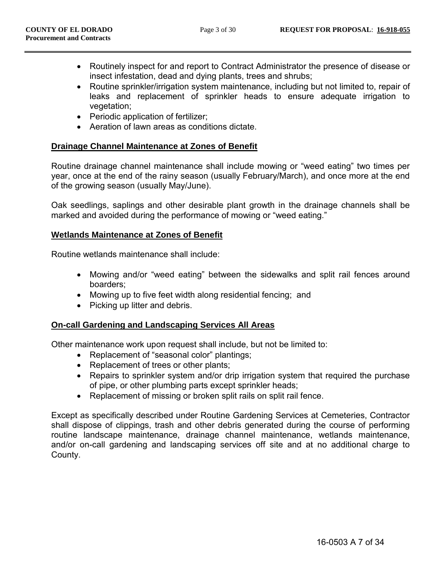- Routinely inspect for and report to Contract Administrator the presence of disease or insect infestation, dead and dying plants, trees and shrubs;
- Routine sprinkler/irrigation system maintenance, including but not limited to, repair of leaks and replacement of sprinkler heads to ensure adequate irrigation to vegetation;
- Periodic application of fertilizer;
- Aeration of lawn areas as conditions dictate.

### **Drainage Channel Maintenance at Zones of Benefit**

Routine drainage channel maintenance shall include mowing or "weed eating" two times per year, once at the end of the rainy season (usually February/March), and once more at the end of the growing season (usually May/June).

Oak seedlings, saplings and other desirable plant growth in the drainage channels shall be marked and avoided during the performance of mowing or "weed eating."

#### **Wetlands Maintenance at Zones of Benefit**

Routine wetlands maintenance shall include:

- Mowing and/or "weed eating" between the sidewalks and split rail fences around boarders;
- Mowing up to five feet width along residential fencing; and
- Picking up litter and debris.

#### **On-call Gardening and Landscaping Services All Areas**

Other maintenance work upon request shall include, but not be limited to:

- Replacement of "seasonal color" plantings;
- Replacement of trees or other plants;
- Repairs to sprinkler system and/or drip irrigation system that required the purchase of pipe, or other plumbing parts except sprinkler heads;
- Replacement of missing or broken split rails on split rail fence.

Except as specifically described under Routine Gardening Services at Cemeteries, Contractor shall dispose of clippings, trash and other debris generated during the course of performing routine landscape maintenance, drainage channel maintenance, wetlands maintenance, and/or on-call gardening and landscaping services off site and at no additional charge to County.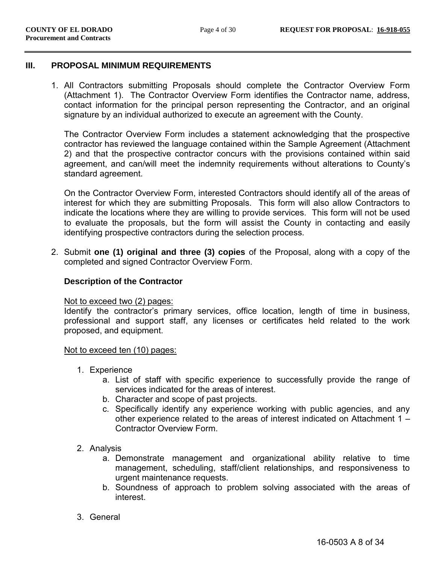#### **III. PROPOSAL MINIMUM REQUIREMENTS**

1. All Contractors submitting Proposals should complete the Contractor Overview Form (Attachment 1). The Contractor Overview Form identifies the Contractor name, address, contact information for the principal person representing the Contractor, and an original signature by an individual authorized to execute an agreement with the County.

The Contractor Overview Form includes a statement acknowledging that the prospective contractor has reviewed the language contained within the Sample Agreement (Attachment 2) and that the prospective contractor concurs with the provisions contained within said agreement, and can/will meet the indemnity requirements without alterations to County's standard agreement.

On the Contractor Overview Form, interested Contractors should identify all of the areas of interest for which they are submitting Proposals. This form will also allow Contractors to indicate the locations where they are willing to provide services. This form will not be used to evaluate the proposals, but the form will assist the County in contacting and easily identifying prospective contractors during the selection process.

2. Submit **one (1) original and three (3) copies** of the Proposal, along with a copy of the completed and signed Contractor Overview Form.

### **Description of the Contractor**

#### Not to exceed two (2) pages:

Identify the contractor's primary services, office location, length of time in business, professional and support staff, any licenses or certificates held related to the work proposed, and equipment.

#### Not to exceed ten (10) pages:

- 1. Experience
	- a. List of staff with specific experience to successfully provide the range of services indicated for the areas of interest.
	- b. Character and scope of past projects.
	- c. Specifically identify any experience working with public agencies, and any other experience related to the areas of interest indicated on Attachment 1 – Contractor Overview Form.
- 2. Analysis
	- a. Demonstrate management and organizational ability relative to time management, scheduling, staff/client relationships, and responsiveness to urgent maintenance requests.
	- b. Soundness of approach to problem solving associated with the areas of interest.
- 3. General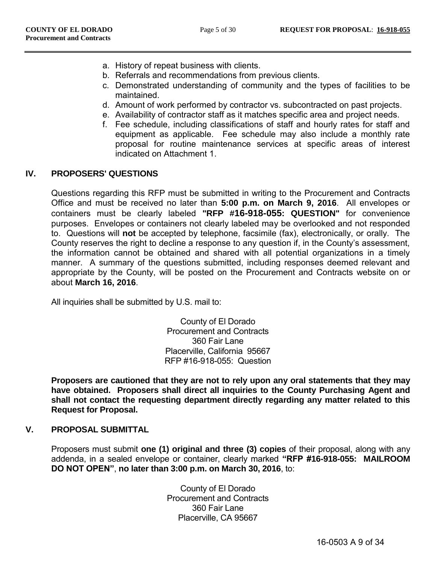- a. History of repeat business with clients.
- b. Referrals and recommendations from previous clients.
- c. Demonstrated understanding of community and the types of facilities to be maintained.
- d. Amount of work performed by contractor vs. subcontracted on past projects.
- e. Availability of contractor staff as it matches specific area and project needs.
- f. Fee schedule, including classifications of staff and hourly rates for staff and equipment as applicable. Fee schedule may also include a monthly rate proposal for routine maintenance services at specific areas of interest indicated on Attachment 1.

### **IV. PROPOSERS' QUESTIONS**

Questions regarding this RFP must be submitted in writing to the Procurement and Contracts Office and must be received no later than **5:00 p.m. on March 9, 2016**. All envelopes or containers must be clearly labeled **"RFP #16-918-055: QUESTION"** for convenience purposes. Envelopes or containers not clearly labeled may be overlooked and not responded to. Questions will **not** be accepted by telephone, facsimile (fax), electronically, or orally. The County reserves the right to decline a response to any question if, in the County's assessment, the information cannot be obtained and shared with all potential organizations in a timely manner. A summary of the questions submitted, including responses deemed relevant and appropriate by the County, will be posted on the Procurement and Contracts website on or about **March 16, 2016**.

All inquiries shall be submitted by U.S. mail to:

County of El Dorado Procurement and Contracts 360 Fair Lane Placerville, California 95667 RFP #16-918-055: Question

**Proposers are cautioned that they are not to rely upon any oral statements that they may have obtained. Proposers shall direct all inquiries to the County Purchasing Agent and shall not contact the requesting department directly regarding any matter related to this Request for Proposal.** 

### **V. PROPOSAL SUBMITTAL**

Proposers must submit **one (1) original and three (3) copies** of their proposal, along with any addenda, in a sealed envelope or container, clearly marked **"RFP #16-918-055: MAILROOM DO NOT OPEN"**, **no later than 3:00 p.m. on March 30, 2016**, to:

> County of El Dorado Procurement and Contracts 360 Fair Lane Placerville, CA 95667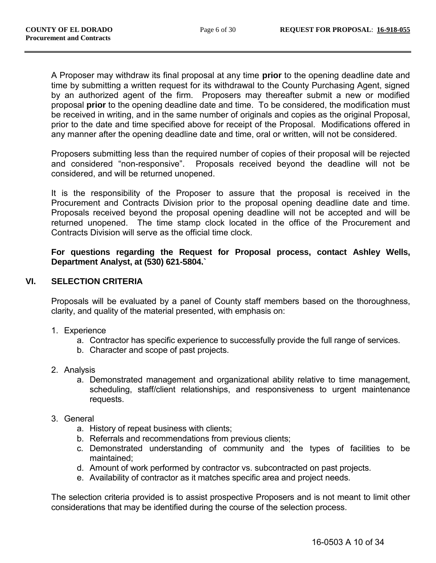A Proposer may withdraw its final proposal at any time **prior** to the opening deadline date and time by submitting a written request for its withdrawal to the County Purchasing Agent, signed by an authorized agent of the firm. Proposers may thereafter submit a new or modified proposal **prior** to the opening deadline date and time. To be considered, the modification must be received in writing, and in the same number of originals and copies as the original Proposal, prior to the date and time specified above for receipt of the Proposal. Modifications offered in any manner after the opening deadline date and time, oral or written, will not be considered.

Proposers submitting less than the required number of copies of their proposal will be rejected and considered "non-responsive". Proposals received beyond the deadline will not be considered, and will be returned unopened.

It is the responsibility of the Proposer to assure that the proposal is received in the Procurement and Contracts Division prior to the proposal opening deadline date and time. Proposals received beyond the proposal opening deadline will not be accepted and will be returned unopened. The time stamp clock located in the office of the Procurement and Contracts Division will serve as the official time clock.

**For questions regarding the Request for Proposal process, contact Ashley Wells, Department Analyst, at (530) 621-5804.`** 

### **VI. SELECTION CRITERIA**

Proposals will be evaluated by a panel of County staff members based on the thoroughness, clarity, and quality of the material presented, with emphasis on:

- 1. Experience
	- a. Contractor has specific experience to successfully provide the full range of services.
	- b. Character and scope of past projects.
- 2. Analysis
	- a. Demonstrated management and organizational ability relative to time management, scheduling, staff/client relationships, and responsiveness to urgent maintenance requests.
- 3. General
	- a. History of repeat business with clients;
	- b. Referrals and recommendations from previous clients;
	- c. Demonstrated understanding of community and the types of facilities to be maintained;
	- d. Amount of work performed by contractor vs. subcontracted on past projects.
	- e. Availability of contractor as it matches specific area and project needs.

The selection criteria provided is to assist prospective Proposers and is not meant to limit other considerations that may be identified during the course of the selection process.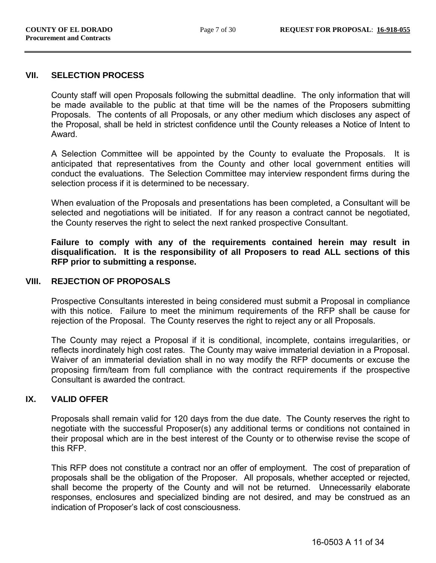#### **VII. SELECTION PROCESS**

County staff will open Proposals following the submittal deadline. The only information that will be made available to the public at that time will be the names of the Proposers submitting Proposals. The contents of all Proposals, or any other medium which discloses any aspect of the Proposal, shall be held in strictest confidence until the County releases a Notice of Intent to Award.

A Selection Committee will be appointed by the County to evaluate the Proposals. It is anticipated that representatives from the County and other local government entities will conduct the evaluations. The Selection Committee may interview respondent firms during the selection process if it is determined to be necessary.

When evaluation of the Proposals and presentations has been completed, a Consultant will be selected and negotiations will be initiated. If for any reason a contract cannot be negotiated, the County reserves the right to select the next ranked prospective Consultant.

**Failure to comply with any of the requirements contained herein may result in disqualification. It is the responsibility of all Proposers to read ALL sections of this RFP prior to submitting a response.** 

#### **VIII. REJECTION OF PROPOSALS**

Prospective Consultants interested in being considered must submit a Proposal in compliance with this notice. Failure to meet the minimum requirements of the RFP shall be cause for rejection of the Proposal. The County reserves the right to reject any or all Proposals.

The County may reject a Proposal if it is conditional, incomplete, contains irregularities, or reflects inordinately high cost rates. The County may waive immaterial deviation in a Proposal. Waiver of an immaterial deviation shall in no way modify the RFP documents or excuse the proposing firm/team from full compliance with the contract requirements if the prospective Consultant is awarded the contract.

### **IX. VALID OFFER**

Proposals shall remain valid for 120 days from the due date. The County reserves the right to negotiate with the successful Proposer(s) any additional terms or conditions not contained in their proposal which are in the best interest of the County or to otherwise revise the scope of this RFP.

This RFP does not constitute a contract nor an offer of employment. The cost of preparation of proposals shall be the obligation of the Proposer. All proposals, whether accepted or rejected, shall become the property of the County and will not be returned. Unnecessarily elaborate responses, enclosures and specialized binding are not desired, and may be construed as an indication of Proposer's lack of cost consciousness.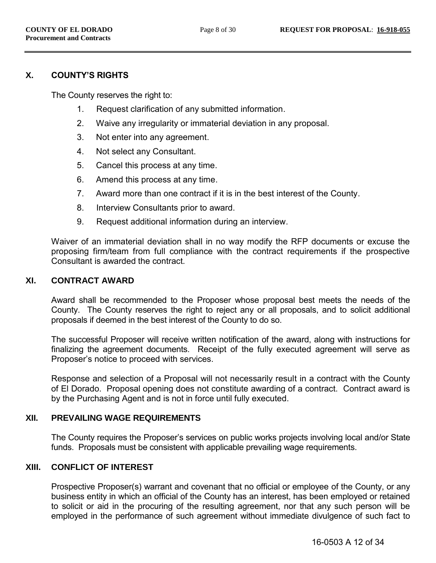### **X. COUNTY'S RIGHTS**

The County reserves the right to:

- 1. Request clarification of any submitted information.
- 2. Waive any irregularity or immaterial deviation in any proposal.
- 3. Not enter into any agreement.
- 4. Not select any Consultant.
- 5. Cancel this process at any time.
- 6. Amend this process at any time.
- 7. Award more than one contract if it is in the best interest of the County.
- 8. Interview Consultants prior to award.
- 9. Request additional information during an interview.

Waiver of an immaterial deviation shall in no way modify the RFP documents or excuse the proposing firm/team from full compliance with the contract requirements if the prospective Consultant is awarded the contract.

#### **XI. CONTRACT AWARD**

Award shall be recommended to the Proposer whose proposal best meets the needs of the County. The County reserves the right to reject any or all proposals, and to solicit additional proposals if deemed in the best interest of the County to do so.

The successful Proposer will receive written notification of the award, along with instructions for finalizing the agreement documents. Receipt of the fully executed agreement will serve as Proposer's notice to proceed with services.

Response and selection of a Proposal will not necessarily result in a contract with the County of El Dorado. Proposal opening does not constitute awarding of a contract. Contract award is by the Purchasing Agent and is not in force until fully executed.

#### **XII. PREVAILING WAGE REQUIREMENTS**

The County requires the Proposer's services on public works projects involving local and/or State funds. Proposals must be consistent with applicable prevailing wage requirements.

#### **XIII. CONFLICT OF INTEREST**

Prospective Proposer(s) warrant and covenant that no official or employee of the County, or any business entity in which an official of the County has an interest, has been employed or retained to solicit or aid in the procuring of the resulting agreement, nor that any such person will be employed in the performance of such agreement without immediate divulgence of such fact to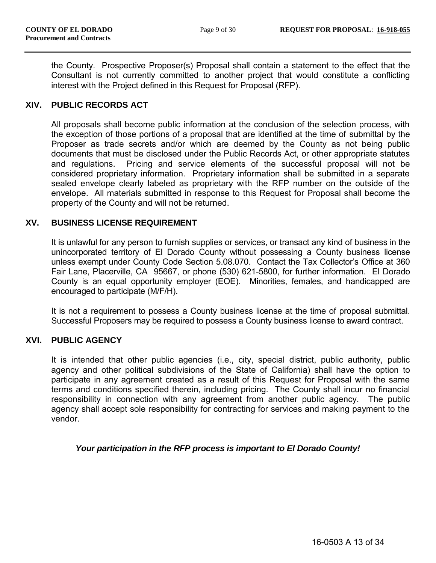the County. Prospective Proposer(s) Proposal shall contain a statement to the effect that the Consultant is not currently committed to another project that would constitute a conflicting interest with the Project defined in this Request for Proposal (RFP).

### **XIV. PUBLIC RECORDS ACT**

All proposals shall become public information at the conclusion of the selection process, with the exception of those portions of a proposal that are identified at the time of submittal by the Proposer as trade secrets and/or which are deemed by the County as not being public documents that must be disclosed under the Public Records Act, or other appropriate statutes and regulations. Pricing and service elements of the successful proposal will not be considered proprietary information. Proprietary information shall be submitted in a separate sealed envelope clearly labeled as proprietary with the RFP number on the outside of the envelope. All materials submitted in response to this Request for Proposal shall become the property of the County and will not be returned.

### **XV. BUSINESS LICENSE REQUIREMENT**

It is unlawful for any person to furnish supplies or services, or transact any kind of business in the unincorporated territory of El Dorado County without possessing a County business license unless exempt under County Code Section 5.08.070. Contact the Tax Collector's Office at 360 Fair Lane, Placerville, CA 95667, or phone (530) 621-5800, for further information. El Dorado County is an equal opportunity employer (EOE). Minorities, females, and handicapped are encouraged to participate (M/F/H).

It is not a requirement to possess a County business license at the time of proposal submittal. Successful Proposers may be required to possess a County business license to award contract.

#### **XVI. PUBLIC AGENCY**

It is intended that other public agencies (i.e., city, special district, public authority, public agency and other political subdivisions of the State of California) shall have the option to participate in any agreement created as a result of this Request for Proposal with the same terms and conditions specified therein, including pricing. The County shall incur no financial responsibility in connection with any agreement from another public agency. The public agency shall accept sole responsibility for contracting for services and making payment to the vendor.

#### *Your participation in the RFP process is important to El Dorado County!*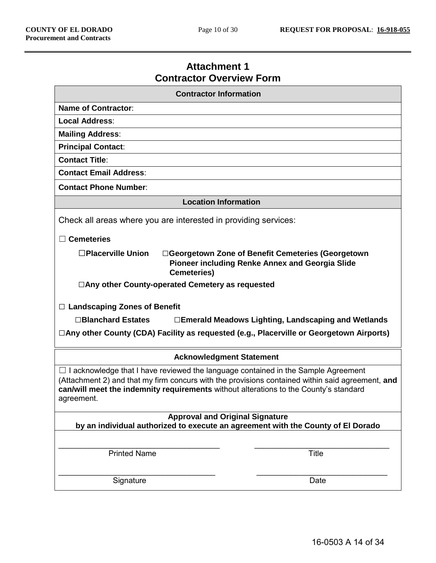# **Attachment 1 Contractor Overview Form**

| <b>Contractor Information</b>                                                                                                                                                                                                                                                                       |  |  |  |
|-----------------------------------------------------------------------------------------------------------------------------------------------------------------------------------------------------------------------------------------------------------------------------------------------------|--|--|--|
| <b>Name of Contractor:</b>                                                                                                                                                                                                                                                                          |  |  |  |
| Local Address:                                                                                                                                                                                                                                                                                      |  |  |  |
| <b>Mailing Address:</b>                                                                                                                                                                                                                                                                             |  |  |  |
| <b>Principal Contact:</b>                                                                                                                                                                                                                                                                           |  |  |  |
| <b>Contact Title:</b>                                                                                                                                                                                                                                                                               |  |  |  |
| <b>Contact Email Address:</b>                                                                                                                                                                                                                                                                       |  |  |  |
| <b>Contact Phone Number:</b>                                                                                                                                                                                                                                                                        |  |  |  |
| <b>Location Information</b>                                                                                                                                                                                                                                                                         |  |  |  |
| Check all areas where you are interested in providing services:                                                                                                                                                                                                                                     |  |  |  |
| $\Box$ Cemeteries                                                                                                                                                                                                                                                                                   |  |  |  |
| $\square$ Placerville Union<br>□Georgetown Zone of Benefit Cemeteries (Georgetown<br><b>Pioneer including Renke Annex and Georgia Slide</b><br><b>Cemeteries)</b>                                                                                                                                   |  |  |  |
| $\Box$ Any other County-operated Cemetery as requested                                                                                                                                                                                                                                              |  |  |  |
|                                                                                                                                                                                                                                                                                                     |  |  |  |
| $\Box$ Landscaping Zones of Benefit                                                                                                                                                                                                                                                                 |  |  |  |
| □Blanchard Estates<br>□Emerald Meadows Lighting, Landscaping and Wetlands                                                                                                                                                                                                                           |  |  |  |
| □Any other County (CDA) Facility as requested (e.g., Placerville or Georgetown Airports)                                                                                                                                                                                                            |  |  |  |
| <b>Acknowledgment Statement</b>                                                                                                                                                                                                                                                                     |  |  |  |
| $\Box$ I acknowledge that I have reviewed the language contained in the Sample Agreement<br>(Attachment 2) and that my firm concurs with the provisions contained within said agreement, and<br>can/will meet the indemnity requirements without alterations to the County's standard<br>agreement. |  |  |  |
| <b>Approval and Original Signature</b>                                                                                                                                                                                                                                                              |  |  |  |
| by an individual authorized to execute an agreement with the County of El Dorado                                                                                                                                                                                                                    |  |  |  |
|                                                                                                                                                                                                                                                                                                     |  |  |  |
| <b>Printed Name</b><br><b>Title</b>                                                                                                                                                                                                                                                                 |  |  |  |
|                                                                                                                                                                                                                                                                                                     |  |  |  |
| Signature<br>Date                                                                                                                                                                                                                                                                                   |  |  |  |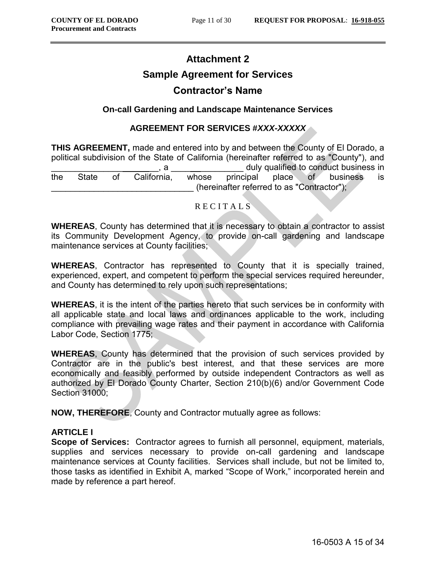# **Attachment 2 Sample Agreement for Services Contractor's Name**

### **On-call Gardening and Landscape Maintenance Services**

#### **AGREEMENT FOR SERVICES #***XXX-XXXXX*

**THIS AGREEMENT,** made and entered into by and between the County of El Dorado, a political subdivision of the State of California (hereinafter referred to as "County"), and \_\_\_\_\_\_\_\_\_\_\_\_\_\_\_ \_\_, a \_\_\_\_ \_\_\_\_\_\_\_\_\_ duly qualified to conduct business in the State of California, whose principal place of business is (hereinafter referred to as "Contractor");

#### R E C I T A L S

**WHEREAS**, County has determined that it is necessary to obtain a contractor to assist its Community Development Agency, to provide on-call gardening and landscape maintenance services at County facilities;

**WHEREAS**, Contractor has represented to County that it is specially trained, experienced, expert, and competent to perform the special services required hereunder, and County has determined to rely upon such representations;

**WHEREAS**, it is the intent of the parties hereto that such services be in conformity with all applicable state and local laws and ordinances applicable to the work, including compliance with prevailing wage rates and their payment in accordance with California Labor Code, Section 1775;

**WHEREAS**, County has determined that the provision of such services provided by Contractor are in the public's best interest, and that these services are more economically and feasibly performed by outside independent Contractors as well as authorized by El Dorado County Charter, Section 210(b)(6) and/or Government Code Section 31000;

**NOW, THEREFORE**, County and Contractor mutually agree as follows:

### **ARTICLE I**

**Scope of Services:** Contractor agrees to furnish all personnel, equipment, materials, supplies and services necessary to provide on-call gardening and landscape maintenance services at County facilities. Services shall include, but not be limited to, those tasks as identified in Exhibit A, marked "Scope of Work," incorporated herein and made by reference a part hereof.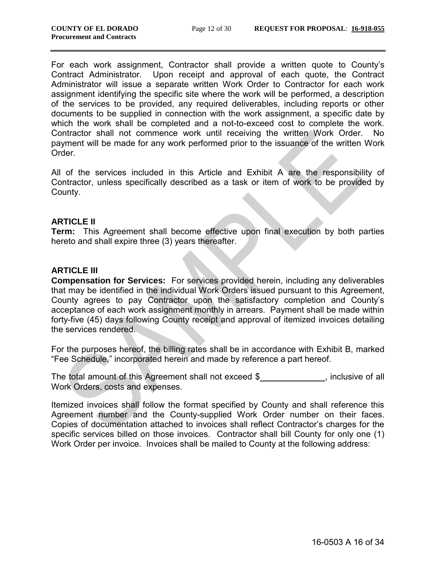For each work assignment, Contractor shall provide a written quote to County's Contract Administrator. Upon receipt and approval of each quote, the Contract Administrator will issue a separate written Work Order to Contractor for each work assignment identifying the specific site where the work will be performed, a description of the services to be provided, any required deliverables, including reports or other documents to be supplied in connection with the work assignment, a specific date by which the work shall be completed and a not-to-exceed cost to complete the work. Contractor shall not commence work until receiving the written Work Order. No payment will be made for any work performed prior to the issuance of the written Work Order.

All of the services included in this Article and Exhibit A are the responsibility of Contractor, unless specifically described as a task or item of work to be provided by County.

### **ARTICLE II**

**Term:** This Agreement shall become effective upon final execution by both parties hereto and shall expire three (3) years thereafter.

### **ARTICLE III**

**Compensation for Services:** For services provided herein, including any deliverables that may be identified in the individual Work Orders issued pursuant to this Agreement, County agrees to pay Contractor upon the satisfactory completion and County's acceptance of each work assignment monthly in arrears. Payment shall be made within forty-five (45) days following County receipt and approval of itemized invoices detailing the services rendered.

For the purposes hereof, the billing rates shall be in accordance with Exhibit B, marked "Fee Schedule," incorporated herein and made by reference a part hereof.

The total amount of this Agreement shall not exceed \$\_\_\_\_\_\_\_\_\_\_\_\_, inclusive of all Work Orders, costs and expenses.

Itemized invoices shall follow the format specified by County and shall reference this Agreement number and the County-supplied Work Order number on their faces. Copies of documentation attached to invoices shall reflect Contractor's charges for the specific services billed on those invoices. Contractor shall bill County for only one (1) Work Order per invoice. Invoices shall be mailed to County at the following address: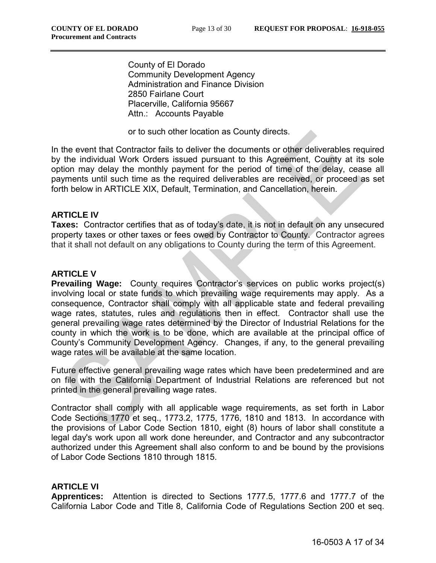County of El Dorado Community Development Agency Administration and Finance Division 2850 Fairlane Court Placerville, California 95667 Attn.: Accounts Payable

or to such other location as County directs.

In the event that Contractor fails to deliver the documents or other deliverables required by the individual Work Orders issued pursuant to this Agreement, County at its sole option may delay the monthly payment for the period of time of the delay, cease all payments until such time as the required deliverables are received, or proceed as set forth below in ARTICLE XIX, Default, Termination, and Cancellation, herein.

### **ARTICLE IV**

**Taxes:** Contractor certifies that as of today's date, it is not in default on any unsecured property taxes or other taxes or fees owed by Contractor to County. Contractor agrees that it shall not default on any obligations to County during the term of this Agreement.

### **ARTICLE V**

**Prevailing Wage:** County requires Contractor's services on public works project(s) involving local or state funds to which prevailing wage requirements may apply. As a consequence, Contractor shall comply with all applicable state and federal prevailing wage rates, statutes, rules and regulations then in effect. Contractor shall use the general prevailing wage rates determined by the Director of Industrial Relations for the county in which the work is to be done, which are available at the principal office of County's Community Development Agency. Changes, if any, to the general prevailing wage rates will be available at the same location.

Future effective general prevailing wage rates which have been predetermined and are on file with the California Department of Industrial Relations are referenced but not printed in the general prevailing wage rates.

Contractor shall comply with all applicable wage requirements, as set forth in Labor Code Sections 1770 et seq., 1773.2, 1775, 1776, 1810 and 1813. In accordance with the provisions of Labor Code Section 1810, eight (8) hours of labor shall constitute a legal day's work upon all work done hereunder, and Contractor and any subcontractor authorized under this Agreement shall also conform to and be bound by the provisions of Labor Code Sections 1810 through 1815.

### **ARTICLE VI**

**Apprentices:** Attention is directed to Sections 1777.5, 1777.6 and 1777.7 of the California Labor Code and Title 8, California Code of Regulations Section 200 et seq.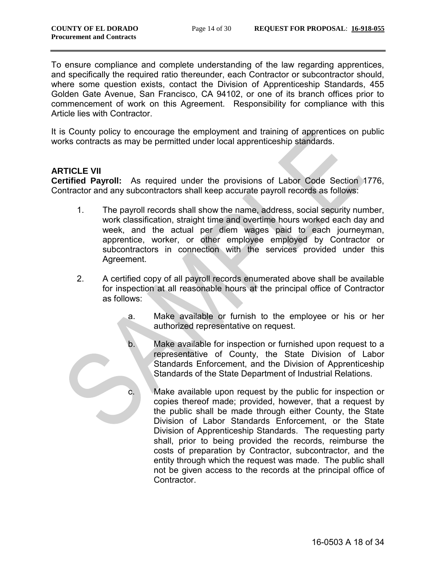To ensure compliance and complete understanding of the law regarding apprentices, and specifically the required ratio thereunder, each Contractor or subcontractor should, where some question exists, contact the Division of Apprenticeship Standards, 455 Golden Gate Avenue, San Francisco, CA 94102, or one of its branch offices prior to commencement of work on this Agreement. Responsibility for compliance with this Article lies with Contractor.

It is County policy to encourage the employment and training of apprentices on public works contracts as may be permitted under local apprenticeship standards.

### **ARTICLE VII**

**Certified Payroll:** As required under the provisions of Labor Code Section 1776, Contractor and any subcontractors shall keep accurate payroll records as follows:

- 1. The payroll records shall show the name, address, social security number, work classification, straight time and overtime hours worked each day and week, and the actual per diem wages paid to each journeyman, apprentice, worker, or other employee employed by Contractor or subcontractors in connection with the services provided under this Agreement.
- 2. A certified copy of all payroll records enumerated above shall be available for inspection at all reasonable hours at the principal office of Contractor as follows:
	- a. Make available or furnish to the employee or his or her authorized representative on request.
	- b. Make available for inspection or furnished upon request to a representative of County, the State Division of Labor Standards Enforcement, and the Division of Apprenticeship Standards of the State Department of Industrial Relations.
	- c. Make available upon request by the public for inspection or copies thereof made; provided, however, that a request by the public shall be made through either County, the State Division of Labor Standards Enforcement, or the State Division of Apprenticeship Standards. The requesting party shall, prior to being provided the records, reimburse the costs of preparation by Contractor, subcontractor, and the entity through which the request was made. The public shall not be given access to the records at the principal office of Contractor.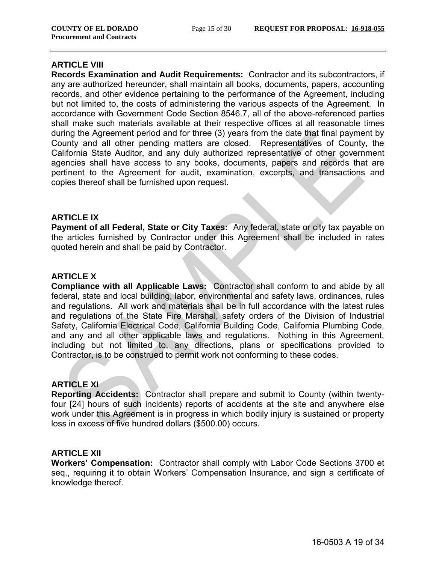#### **ARTICLE VIII**

**Records Examination and Audit Requirements:** Contractor and its subcontractors, if any are authorized hereunder, shall maintain all books, documents, papers, accounting records, and other evidence pertaining to the performance of the Agreement, including but not limited to, the costs of administering the various aspects of the Agreement. In accordance with Government Code Section 8546.7, all of the above-referenced parties shall make such materials available at their respective offices at all reasonable times during the Agreement period and for three (3) years from the date that final payment by County and all other pending matters are closed. Representatives of County, the California State Auditor, and any duly authorized representative of other government agencies shall have access to any books, documents, papers and records that are pertinent to the Agreement for audit, examination, excerpts, and transactions and copies thereof shall be furnished upon request.

#### **ARTICLE IX**

**Payment of all Federal, State or City Taxes:** Any federal, state or city tax payable on the articles furnished by Contractor under this Agreement shall be included in rates quoted herein and shall be paid by Contractor.

#### **ARTICLE X**

**Compliance with all Applicable Laws:** Contractor shall conform to and abide by all federal, state and local building, labor, environmental and safety laws, ordinances, rules and regulations. All work and materials shall be in full accordance with the latest rules and regulations of the State Fire Marshal, safety orders of the Division of Industrial Safety, California Electrical Code, California Building Code, California Plumbing Code, and any and all other applicable laws and regulations. Nothing in this Agreement, including but not limited to, any directions, plans or specifications provided to Contractor, is to be construed to permit work not conforming to these codes.

#### **ARTICLE XI**

**Reporting Accidents:** Contractor shall prepare and submit to County (within twentyfour [24] hours of such incidents) reports of accidents at the site and anywhere else work under this Agreement is in progress in which bodily injury is sustained or property loss in excess of five hundred dollars (\$500.00) occurs.

#### **ARTICLE XII**

**Workers' Compensation:** Contractor shall comply with Labor Code Sections 3700 et seq., requiring it to obtain Workers' Compensation Insurance, and sign a certificate of knowledge thereof.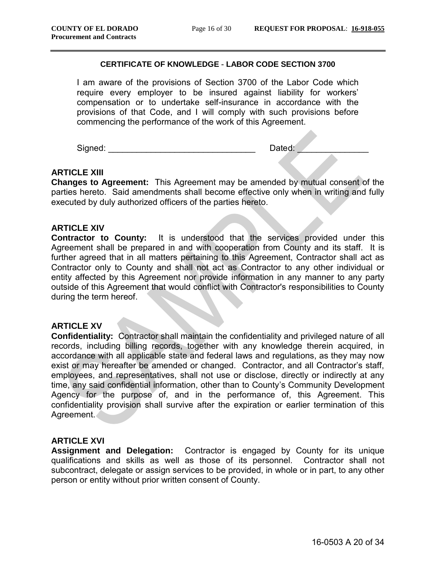#### **CERTIFICATE OF KNOWLEDGE** - **LABOR CODE SECTION 3700**

I am aware of the provisions of Section 3700 of the Labor Code which require every employer to be insured against liability for workers' compensation or to undertake self-insurance in accordance with the provisions of that Code, and I will comply with such provisions before commencing the performance of the work of this Agreement.

Signed: \_\_\_\_\_\_\_\_\_\_\_\_\_\_\_\_\_\_\_\_\_\_\_\_\_\_\_\_\_\_\_ Dated: \_\_\_\_\_\_\_\_\_\_\_\_\_\_\_

### **ARTICLE XIII**

**Changes to Agreement:** This Agreement may be amended by mutual consent of the parties hereto. Said amendments shall become effective only when in writing and fully executed by duly authorized officers of the parties hereto.

#### **ARTICLE XIV**

**Contractor to County:** It is understood that the services provided under this Agreement shall be prepared in and with cooperation from County and its staff. It is further agreed that in all matters pertaining to this Agreement, Contractor shall act as Contractor only to County and shall not act as Contractor to any other individual or entity affected by this Agreement nor provide information in any manner to any party outside of this Agreement that would conflict with Contractor's responsibilities to County during the term hereof.

#### **ARTICLE XV**

**Confidentiality:** Contractor shall maintain the confidentiality and privileged nature of all records, including billing records, together with any knowledge therein acquired, in accordance with all applicable state and federal laws and regulations, as they may now exist or may hereafter be amended or changed. Contractor, and all Contractor's staff, employees, and representatives, shall not use or disclose, directly or indirectly at any time, any said confidential information, other than to County's Community Development Agency for the purpose of, and in the performance of, this Agreement. This confidentiality provision shall survive after the expiration or earlier termination of this Agreement.

#### **ARTICLE XVI**

**Assignment and Delegation:** Contractor is engaged by County for its unique qualifications and skills as well as those of its personnel. Contractor shall not subcontract, delegate or assign services to be provided, in whole or in part, to any other person or entity without prior written consent of County.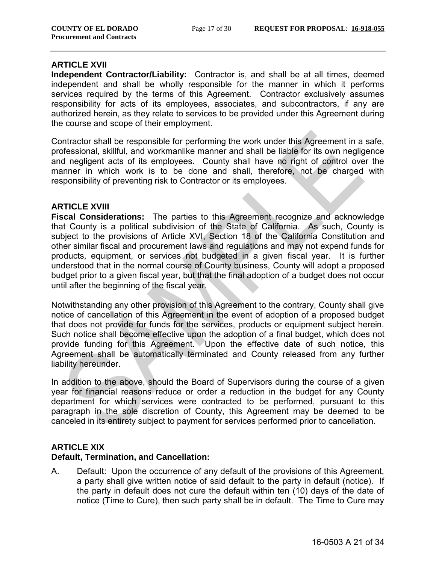#### **ARTICLE XVII**

**Independent Contractor/Liability:** Contractor is, and shall be at all times, deemed independent and shall be wholly responsible for the manner in which it performs services required by the terms of this Agreement. Contractor exclusively assumes responsibility for acts of its employees, associates, and subcontractors, if any are authorized herein, as they relate to services to be provided under this Agreement during the course and scope of their employment.

Contractor shall be responsible for performing the work under this Agreement in a safe, professional, skillful, and workmanlike manner and shall be liable for its own negligence and negligent acts of its employees. County shall have no right of control over the manner in which work is to be done and shall, therefore, not be charged with responsibility of preventing risk to Contractor or its employees.

#### **ARTICLE XVIII**

**Fiscal Considerations:** The parties to this Agreement recognize and acknowledge that County is a political subdivision of the State of California. As such, County is subject to the provisions of Article XVI, Section 18 of the California Constitution and other similar fiscal and procurement laws and regulations and may not expend funds for products, equipment, or services not budgeted in a given fiscal year. It is further understood that in the normal course of County business, County will adopt a proposed budget prior to a given fiscal year, but that the final adoption of a budget does not occur until after the beginning of the fiscal year.

Notwithstanding any other provision of this Agreement to the contrary, County shall give notice of cancellation of this Agreement in the event of adoption of a proposed budget that does not provide for funds for the services, products or equipment subject herein. Such notice shall become effective upon the adoption of a final budget, which does not provide funding for this Agreement. Upon the effective date of such notice, this Agreement shall be automatically terminated and County released from any further liability hereunder.

In addition to the above, should the Board of Supervisors during the course of a given year for financial reasons reduce or order a reduction in the budget for any County department for which services were contracted to be performed, pursuant to this paragraph in the sole discretion of County, this Agreement may be deemed to be canceled in its entirety subject to payment for services performed prior to cancellation.

#### **ARTICLE XIX**

#### **Default, Termination, and Cancellation:**

A. Default: Upon the occurrence of any default of the provisions of this Agreement, a party shall give written notice of said default to the party in default (notice). If the party in default does not cure the default within ten (10) days of the date of notice (Time to Cure), then such party shall be in default. The Time to Cure may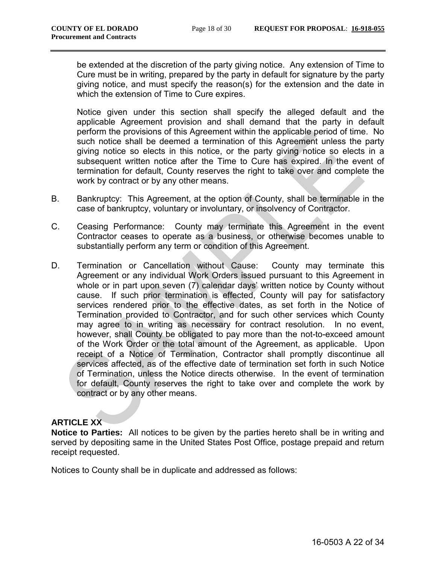be extended at the discretion of the party giving notice. Any extension of Time to Cure must be in writing, prepared by the party in default for signature by the party giving notice, and must specify the reason(s) for the extension and the date in which the extension of Time to Cure expires.

Notice given under this section shall specify the alleged default and the applicable Agreement provision and shall demand that the party in default perform the provisions of this Agreement within the applicable period of time. No such notice shall be deemed a termination of this Agreement unless the party giving notice so elects in this notice, or the party giving notice so elects in a subsequent written notice after the Time to Cure has expired. In the event of termination for default, County reserves the right to take over and complete the work by contract or by any other means.

- B. Bankruptcy: This Agreement, at the option of County, shall be terminable in the case of bankruptcy, voluntary or involuntary, or insolvency of Contractor.
- C. Ceasing Performance: County may terminate this Agreement in the event Contractor ceases to operate as a business, or otherwise becomes unable to substantially perform any term or condition of this Agreement.
- D. Termination or Cancellation without Cause: County may terminate this Agreement or any individual Work Orders issued pursuant to this Agreement in whole or in part upon seven (7) calendar days' written notice by County without cause. If such prior termination is effected, County will pay for satisfactory services rendered prior to the effective dates, as set forth in the Notice of Termination provided to Contractor, and for such other services which County may agree to in writing as necessary for contract resolution. In no event, however, shall County be obligated to pay more than the not-to-exceed amount of the Work Order or the total amount of the Agreement, as applicable. Upon receipt of a Notice of Termination, Contractor shall promptly discontinue all services affected, as of the effective date of termination set forth in such Notice of Termination, unless the Notice directs otherwise. In the event of termination for default, County reserves the right to take over and complete the work by contract or by any other means.

### **ARTICLE XX**

**Notice to Parties:** All notices to be given by the parties hereto shall be in writing and served by depositing same in the United States Post Office, postage prepaid and return receipt requested.

Notices to County shall be in duplicate and addressed as follows: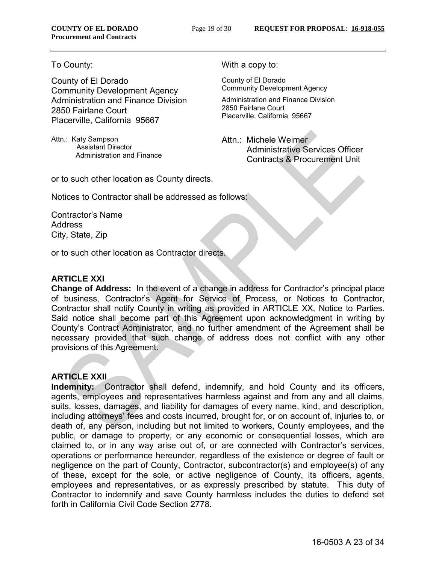County of El Dorado Community Development Agency Administration and Finance Division 2850 Fairlane Court Placerville, California 95667

Attn.: Katy Sampson Assistant Director Administration and Finance

To County: The County: The County: The County: The County: The County: The County: The County: The County: The County: The County: The County: The County: The County: The County: The County: The County: The County: The Cou

County of El Dorado Community Development Agency

Administration and Finance Division 2850 Fairlane Court Placerville, California 95667

Attn.: Michele Weimer Administrative Services Officer Contracts & Procurement Unit

or to such other location as County directs.

Notices to Contractor shall be addressed as follows:

Contractor's Name Address City, State, Zip

or to such other location as Contractor directs.

### **ARTICLE XXI**

**Change of Address:** In the event of a change in address for Contractor's principal place of business, Contractor's Agent for Service of Process, or Notices to Contractor, Contractor shall notify County in writing as provided in ARTICLE XX, Notice to Parties. Said notice shall become part of this Agreement upon acknowledgment in writing by County's Contract Administrator, and no further amendment of the Agreement shall be necessary provided that such change of address does not conflict with any other provisions of this Agreement.

### **ARTICLE XXII**

**Indemnity:** Contractor shall defend, indemnify, and hold County and its officers, agents, employees and representatives harmless against and from any and all claims, suits, losses, damages, and liability for damages of every name, kind, and description, including attorneys' fees and costs incurred, brought for, or on account of, injuries to, or death of, any person, including but not limited to workers, County employees, and the public, or damage to property, or any economic or consequential losses, which are claimed to, or in any way arise out of, or are connected with Contractor's services, operations or performance hereunder, regardless of the existence or degree of fault or negligence on the part of County, Contractor, subcontractor(s) and employee(s) of any of these, except for the sole, or active negligence of County, its officers, agents, employees and representatives, or as expressly prescribed by statute. This duty of Contractor to indemnify and save County harmless includes the duties to defend set forth in California Civil Code Section 2778.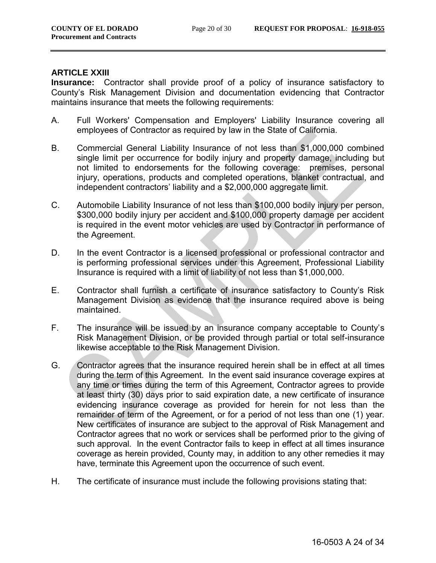#### **ARTICLE XXIII**

**Insurance:** Contractor shall provide proof of a policy of insurance satisfactory to County's Risk Management Division and documentation evidencing that Contractor maintains insurance that meets the following requirements:

- A. Full Workers' Compensation and Employers' Liability Insurance covering all employees of Contractor as required by law in the State of California.
- B. Commercial General Liability Insurance of not less than \$1,000,000 combined single limit per occurrence for bodily injury and property damage, including but not limited to endorsements for the following coverage: premises, personal injury, operations, products and completed operations, blanket contractual, and independent contractors' liability and a \$2,000,000 aggregate limit.
- C. Automobile Liability Insurance of not less than \$100,000 bodily injury per person, \$300,000 bodily injury per accident and \$100,000 property damage per accident is required in the event motor vehicles are used by Contractor in performance of the Agreement.
- D. In the event Contractor is a licensed professional or professional contractor and is performing professional services under this Agreement, Professional Liability Insurance is required with a limit of liability of not less than \$1,000,000.
- E. Contractor shall furnish a certificate of insurance satisfactory to County's Risk Management Division as evidence that the insurance required above is being maintained.
- F. The insurance will be issued by an insurance company acceptable to County's Risk Management Division, or be provided through partial or total self-insurance likewise acceptable to the Risk Management Division.
- G. Contractor agrees that the insurance required herein shall be in effect at all times during the term of this Agreement. In the event said insurance coverage expires at any time or times during the term of this Agreement, Contractor agrees to provide at least thirty (30) days prior to said expiration date, a new certificate of insurance evidencing insurance coverage as provided for herein for not less than the remainder of term of the Agreement, or for a period of not less than one (1) year. New certificates of insurance are subject to the approval of Risk Management and Contractor agrees that no work or services shall be performed prior to the giving of such approval. In the event Contractor fails to keep in effect at all times insurance coverage as herein provided, County may, in addition to any other remedies it may have, terminate this Agreement upon the occurrence of such event.
- H. The certificate of insurance must include the following provisions stating that: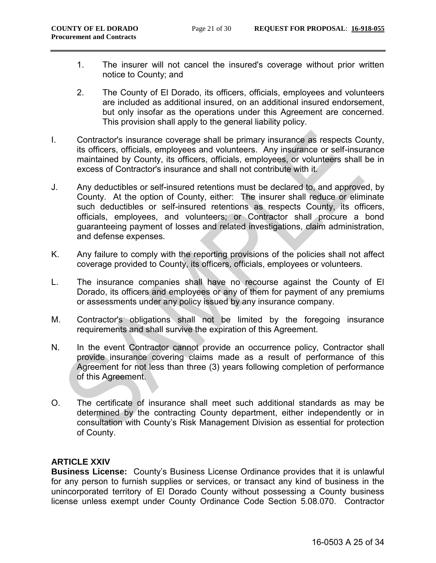- 1. The insurer will not cancel the insured's coverage without prior written notice to County; and
- 2. The County of El Dorado, its officers, officials, employees and volunteers are included as additional insured, on an additional insured endorsement, but only insofar as the operations under this Agreement are concerned. This provision shall apply to the general liability policy.
- I. Contractor's insurance coverage shall be primary insurance as respects County, its officers, officials, employees and volunteers. Any insurance or self-insurance maintained by County, its officers, officials, employees, or volunteers shall be in excess of Contractor's insurance and shall not contribute with it.
- J. Any deductibles or self-insured retentions must be declared to, and approved, by County. At the option of County, either: The insurer shall reduce or eliminate such deductibles or self-insured retentions as respects County, its officers, officials, employees, and volunteers; or Contractor shall procure a bond guaranteeing payment of losses and related investigations, claim administration, and defense expenses.
- K. Any failure to comply with the reporting provisions of the policies shall not affect coverage provided to County, its officers, officials, employees or volunteers.
- L. The insurance companies shall have no recourse against the County of El Dorado, its officers and employees or any of them for payment of any premiums or assessments under any policy issued by any insurance company.
- M. Contractor's obligations shall not be limited by the foregoing insurance requirements and shall survive the expiration of this Agreement.
- N. In the event Contractor cannot provide an occurrence policy, Contractor shall provide insurance covering claims made as a result of performance of this Agreement for not less than three (3) years following completion of performance of this Agreement.
- O. The certificate of insurance shall meet such additional standards as may be determined by the contracting County department, either independently or in consultation with County's Risk Management Division as essential for protection of County.

### **ARTICLE XXIV**

**Business License:** County's Business License Ordinance provides that it is unlawful for any person to furnish supplies or services, or transact any kind of business in the unincorporated territory of El Dorado County without possessing a County business license unless exempt under County Ordinance Code Section 5.08.070. Contractor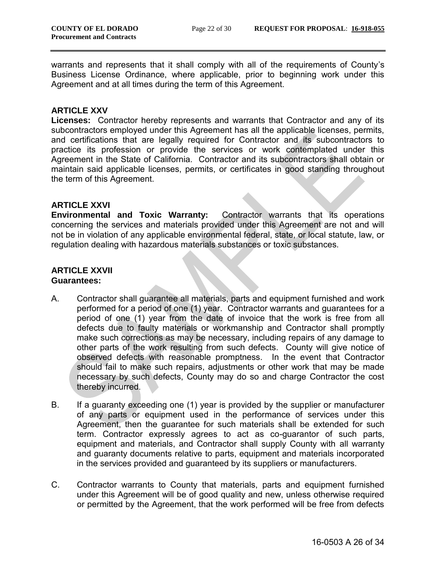warrants and represents that it shall comply with all of the requirements of County's Business License Ordinance, where applicable, prior to beginning work under this Agreement and at all times during the term of this Agreement.

#### **ARTICLE XXV**

**Licenses:** Contractor hereby represents and warrants that Contractor and any of its subcontractors employed under this Agreement has all the applicable licenses, permits, and certifications that are legally required for Contractor and its subcontractors to practice its profession or provide the services or work contemplated under this Agreement in the State of California. Contractor and its subcontractors shall obtain or maintain said applicable licenses, permits, or certificates in good standing throughout the term of this Agreement.

#### **ARTICLE XXVI**

**Environmental and Toxic Warranty:** Contractor warrants that its operations concerning the services and materials provided under this Agreement are not and will not be in violation of any applicable environmental federal, state, or local statute, law, or regulation dealing with hazardous materials substances or toxic substances.

#### **ARTICLE XXVII Guarantees:**

- A. Contractor shall guarantee all materials, parts and equipment furnished and work performed for a period of one (1) year. Contractor warrants and guarantees for a period of one (1) year from the date of invoice that the work is free from all defects due to faulty materials or workmanship and Contractor shall promptly make such corrections as may be necessary, including repairs of any damage to other parts of the work resulting from such defects. County will give notice of observed defects with reasonable promptness. In the event that Contractor should fail to make such repairs, adjustments or other work that may be made necessary by such defects, County may do so and charge Contractor the cost thereby incurred.
- B. If a guaranty exceeding one (1) year is provided by the supplier or manufacturer of any parts or equipment used in the performance of services under this Agreement, then the guarantee for such materials shall be extended for such term. Contractor expressly agrees to act as co-guarantor of such parts, equipment and materials, and Contractor shall supply County with all warranty and guaranty documents relative to parts, equipment and materials incorporated in the services provided and guaranteed by its suppliers or manufacturers.
- C. Contractor warrants to County that materials, parts and equipment furnished under this Agreement will be of good quality and new, unless otherwise required or permitted by the Agreement, that the work performed will be free from defects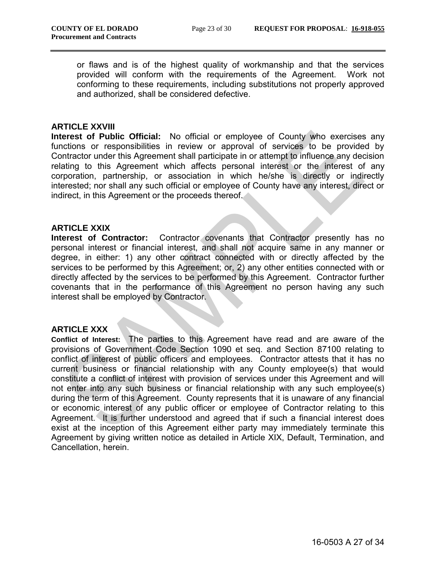or flaws and is of the highest quality of workmanship and that the services provided will conform with the requirements of the Agreement. Work not conforming to these requirements, including substitutions not properly approved and authorized, shall be considered defective.

#### **ARTICLE XXVIII**

**Interest of Public Official:** No official or employee of County who exercises any functions or responsibilities in review or approval of services to be provided by Contractor under this Agreement shall participate in or attempt to influence any decision relating to this Agreement which affects personal interest or the interest of any corporation, partnership, or association in which he/she is directly or indirectly interested; nor shall any such official or employee of County have any interest, direct or indirect, in this Agreement or the proceeds thereof.

### **ARTICLE XXIX**

**Interest of Contractor:** Contractor covenants that Contractor presently has no personal interest or financial interest, and shall not acquire same in any manner or degree, in either: 1) any other contract connected with or directly affected by the services to be performed by this Agreement; or, 2) any other entities connected with or directly affected by the services to be performed by this Agreement. Contractor further covenants that in the performance of this Agreement no person having any such interest shall be employed by Contractor.

#### **ARTICLE XXX**

**Conflict of Interest:** The parties to this Agreement have read and are aware of the provisions of Government Code Section 1090 et seq. and Section 87100 relating to conflict of interest of public officers and employees. Contractor attests that it has no current business or financial relationship with any County employee(s) that would constitute a conflict of interest with provision of services under this Agreement and will not enter into any such business or financial relationship with any such employee(s) during the term of this Agreement. County represents that it is unaware of any financial or economic interest of any public officer or employee of Contractor relating to this Agreement. It is further understood and agreed that if such a financial interest does exist at the inception of this Agreement either party may immediately terminate this Agreement by giving written notice as detailed in Article XIX, Default, Termination, and Cancellation, herein.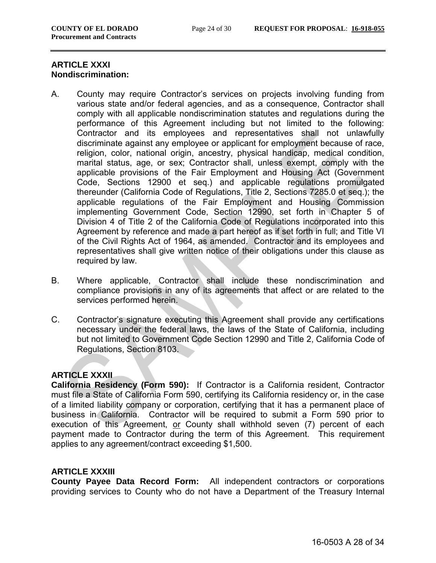### **ARTICLE XXXI Nondiscrimination:**

- A. County may require Contractor's services on projects involving funding from various state and/or federal agencies, and as a consequence, Contractor shall comply with all applicable nondiscrimination statutes and regulations during the performance of this Agreement including but not limited to the following: Contractor and its employees and representatives shall not unlawfully discriminate against any employee or applicant for employment because of race, religion, color, national origin, ancestry, physical handicap, medical condition, marital status, age, or sex; Contractor shall, unless exempt, comply with the applicable provisions of the Fair Employment and Housing Act (Government Code, Sections 12900 et seq.) and applicable regulations promulgated thereunder (California Code of Regulations, Title 2, Sections 7285.0 et seq.); the applicable regulations of the Fair Employment and Housing Commission implementing Government Code, Section 12990, set forth in Chapter 5 of Division 4 of Title 2 of the California Code of Regulations incorporated into this Agreement by reference and made a part hereof as if set forth in full; and Title VI of the Civil Rights Act of 1964, as amended. Contractor and its employees and representatives shall give written notice of their obligations under this clause as required by law.
- B. Where applicable, Contractor shall include these nondiscrimination and compliance provisions in any of its agreements that affect or are related to the services performed herein.
- C. Contractor's signature executing this Agreement shall provide any certifications necessary under the federal laws, the laws of the State of California, including but not limited to Government Code Section 12990 and Title 2, California Code of Regulations, Section 8103.

### **ARTICLE XXXII**

**California Residency (Form 590):** If Contractor is a California resident, Contractor must file a State of California Form 590, certifying its California residency or, in the case of a limited liability company or corporation, certifying that it has a permanent place of business in California. Contractor will be required to submit a Form 590 prior to execution of this Agreement, or County shall withhold seven (7) percent of each payment made to Contractor during the term of this Agreement. This requirement applies to any agreement/contract exceeding \$1,500.

### **ARTICLE XXXIII**

**County Payee Data Record Form:** All independent contractors or corporations providing services to County who do not have a Department of the Treasury Internal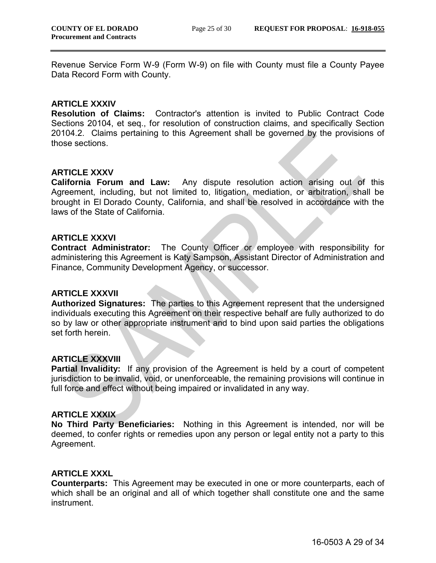Revenue Service Form W-9 (Form W-9) on file with County must file a County Payee Data Record Form with County.

#### **ARTICLE XXXIV**

**Resolution of Claims:** Contractor's attention is invited to Public Contract Code Sections 20104, et seq., for resolution of construction claims, and specifically Section 20104.2. Claims pertaining to this Agreement shall be governed by the provisions of those sections.

### **ARTICLE XXXV**

**California Forum and Law:** Any dispute resolution action arising out of this Agreement, including, but not limited to, litigation, mediation, or arbitration, shall be brought in El Dorado County, California, and shall be resolved in accordance with the laws of the State of California.

#### **ARTICLE XXXVI**

**Contract Administrator:** The County Officer or employee with responsibility for administering this Agreement is Katy Sampson, Assistant Director of Administration and Finance, Community Development Agency, or successor.

#### **ARTICLE XXXVII**

**Authorized Signatures:** The parties to this Agreement represent that the undersigned individuals executing this Agreement on their respective behalf are fully authorized to do so by law or other appropriate instrument and to bind upon said parties the obligations set forth herein.

#### **ARTICLE XXXVIII**

**Partial Invalidity:** If any provision of the Agreement is held by a court of competent jurisdiction to be invalid, void, or unenforceable, the remaining provisions will continue in full force and effect without being impaired or invalidated in any way.

#### **ARTICLE XXXIX**

**No Third Party Beneficiaries:** Nothing in this Agreement is intended, nor will be deemed, to confer rights or remedies upon any person or legal entity not a party to this Agreement.

#### **ARTICLE XXXL**

**Counterparts:** This Agreement may be executed in one or more counterparts, each of which shall be an original and all of which together shall constitute one and the same instrument.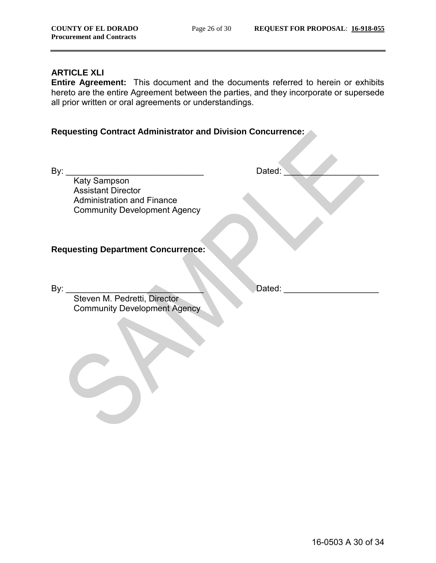### **ARTICLE XLI**

**Entire Agreement:** This document and the documents referred to herein or exhibits hereto are the entire Agreement between the parties, and they incorporate or supersede all prior written or oral agreements or understandings.

### **Requesting Contract Administrator and Division Concurrence:**

By: \_\_\_\_\_\_\_\_\_\_\_\_\_\_\_\_\_\_\_\_\_\_\_\_\_\_\_\_\_ Dated: \_\_\_\_\_\_\_\_\_\_\_\_\_\_\_\_\_\_\_\_ Katy Sampson Assistant Director Administration and Finance Community Development Agency

**Requesting Department Concurrence:**

By: \_\_\_\_\_\_\_\_\_\_\_\_\_\_\_\_\_\_\_\_\_\_\_\_\_\_\_\_\_ Dated: \_\_\_\_\_\_\_\_\_\_\_\_\_\_\_\_\_\_\_\_

Steven M. Pedretti, Director Community Development Agency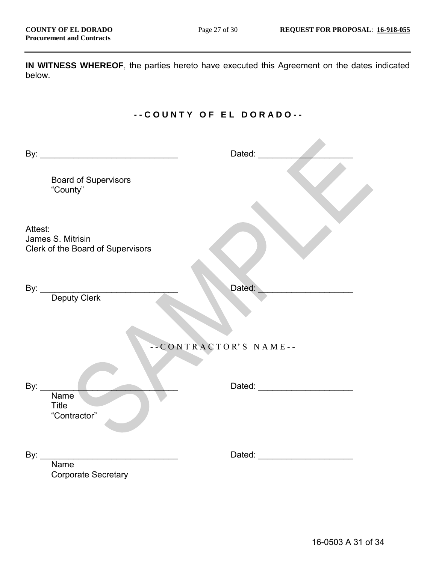**IN WITNESS WHEREOF**, the parties hereto have executed this Agreement on the dates indicated below.

# **- - C O U N T Y O F E L D O R A D O - -**

|                                                                                              |                                                        | Dated: ________            |
|----------------------------------------------------------------------------------------------|--------------------------------------------------------|----------------------------|
|                                                                                              | <b>Board of Supervisors</b><br>"County"                |                            |
| Attest:                                                                                      | James S. Mitrisin<br>Clerk of the Board of Supervisors |                            |
|                                                                                              | By: Deputy Clerk                                       | Dated:                     |
|                                                                                              |                                                        | --CONTRACTOR'S NAME--      |
| By: $\frac{1}{\sqrt{1-\frac{1}{2}}\sqrt{1-\frac{1}{2}}\left(\frac{1}{2}-\frac{1}{2}\right)}$ | <b>Name</b><br><b>Title</b><br>"Contractor"            |                            |
| By: $_{-}$                                                                                   | <b>Name</b><br><b>Corporate Secretary</b>              | Dated: <b>Example 2019</b> |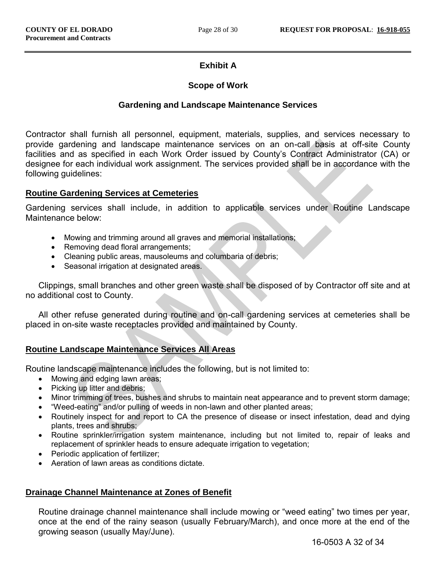# **Exhibit A**

### **Scope of Work**

### **Gardening and Landscape Maintenance Services**

Contractor shall furnish all personnel, equipment, materials, supplies, and services necessary to provide gardening and landscape maintenance services on an on-call basis at off-site County facilities and as specified in each Work Order issued by County's Contract Administrator (CA) or designee for each individual work assignment. The services provided shall be in accordance with the following guidelines:

### **Routine Gardening Services at Cemeteries**

Gardening services shall include, in addition to applicable services under Routine Landscape Maintenance below:

- Mowing and trimming around all graves and memorial installations;
- Removing dead floral arrangements;
- Cleaning public areas, mausoleums and columbaria of debris;
- Seasonal irrigation at designated areas.

Clippings, small branches and other green waste shall be disposed of by Contractor off site and at no additional cost to County.

All other refuse generated during routine and on-call gardening services at cemeteries shall be placed in on-site waste receptacles provided and maintained by County.

### **Routine Landscape Maintenance Services All Areas**

Routine landscape maintenance includes the following, but is not limited to:

- Mowing and edging lawn areas;
- Picking up litter and debris:
- Minor trimming of trees, bushes and shrubs to maintain neat appearance and to prevent storm damage;
- "Weed-eating" and/or pulling of weeds in non-lawn and other planted areas;
- Routinely inspect for and report to CA the presence of disease or insect infestation, dead and dying plants, trees and shrubs;
- Routine sprinkler/irrigation system maintenance, including but not limited to, repair of leaks and replacement of sprinkler heads to ensure adequate irrigation to vegetation;
- Periodic application of fertilizer;
- Aeration of lawn areas as conditions dictate.

### **Drainage Channel Maintenance at Zones of Benefit**

Routine drainage channel maintenance shall include mowing or "weed eating" two times per year, once at the end of the rainy season (usually February/March), and once more at the end of the growing season (usually May/June).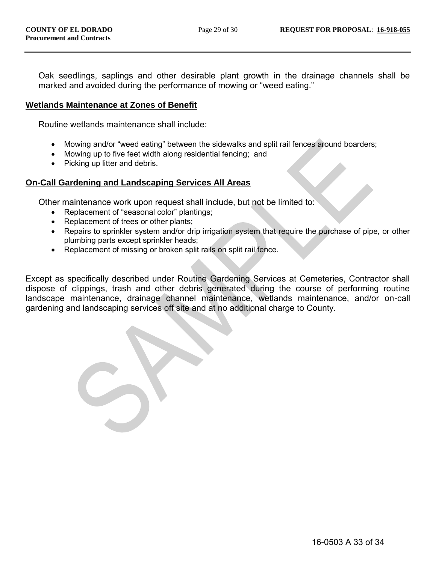Oak seedlings, saplings and other desirable plant growth in the drainage channels shall be marked and avoided during the performance of mowing or "weed eating."

### **Wetlands Maintenance at Zones of Benefit**

Routine wetlands maintenance shall include:

- Mowing and/or "weed eating" between the sidewalks and split rail fences around boarders;
- Mowing up to five feet width along residential fencing; and
- Picking up litter and debris.

#### **On-Call Gardening and Landscaping Services All Areas**

Other maintenance work upon request shall include, but not be limited to:

- Replacement of "seasonal color" plantings;
- Replacement of trees or other plants;
- Repairs to sprinkler system and/or drip irrigation system that require the purchase of pipe, or other plumbing parts except sprinkler heads;
- Replacement of missing or broken split rails on split rail fence.

Except as specifically described under Routine Gardening Services at Cemeteries, Contractor shall dispose of clippings, trash and other debris generated during the course of performing routine landscape maintenance, drainage channel maintenance, wetlands maintenance, and/or on-call gardening and landscaping services off site and at no additional charge to County.